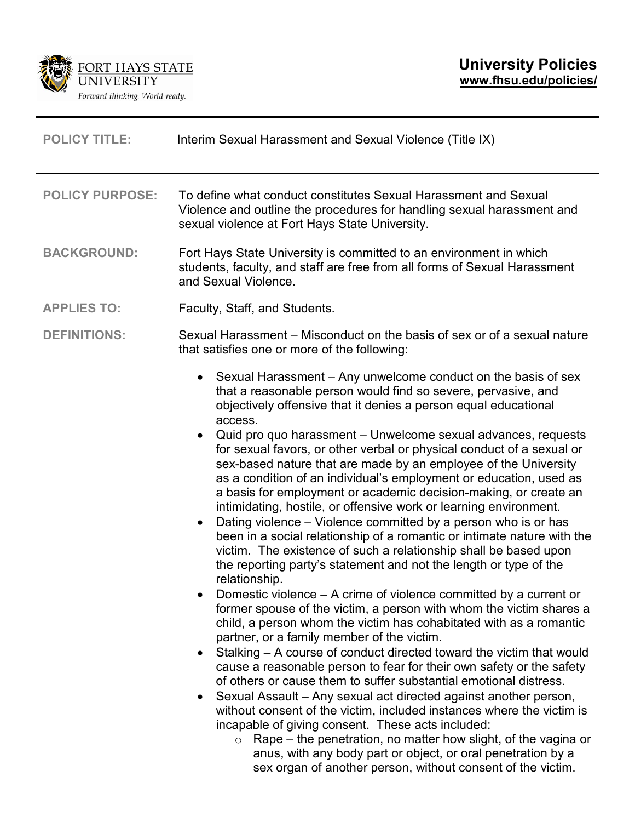

| <b>POLICY TITLE:</b>   | Interim Sexual Harassment and Sexual Violence (Title IX)                                                                                                                                                                                                                                                                                                                                                                                                                                                                                                                                                                                                                                                                                                                                                                                                                                                                                                                                                                                                                                                                                                                                                                                                                                                                         |
|------------------------|----------------------------------------------------------------------------------------------------------------------------------------------------------------------------------------------------------------------------------------------------------------------------------------------------------------------------------------------------------------------------------------------------------------------------------------------------------------------------------------------------------------------------------------------------------------------------------------------------------------------------------------------------------------------------------------------------------------------------------------------------------------------------------------------------------------------------------------------------------------------------------------------------------------------------------------------------------------------------------------------------------------------------------------------------------------------------------------------------------------------------------------------------------------------------------------------------------------------------------------------------------------------------------------------------------------------------------|
| <b>POLICY PURPOSE:</b> | To define what conduct constitutes Sexual Harassment and Sexual<br>Violence and outline the procedures for handling sexual harassment and<br>sexual violence at Fort Hays State University.                                                                                                                                                                                                                                                                                                                                                                                                                                                                                                                                                                                                                                                                                                                                                                                                                                                                                                                                                                                                                                                                                                                                      |
| <b>BACKGROUND:</b>     | Fort Hays State University is committed to an environment in which<br>students, faculty, and staff are free from all forms of Sexual Harassment<br>and Sexual Violence.                                                                                                                                                                                                                                                                                                                                                                                                                                                                                                                                                                                                                                                                                                                                                                                                                                                                                                                                                                                                                                                                                                                                                          |
| <b>APPLIES TO:</b>     | Faculty, Staff, and Students.                                                                                                                                                                                                                                                                                                                                                                                                                                                                                                                                                                                                                                                                                                                                                                                                                                                                                                                                                                                                                                                                                                                                                                                                                                                                                                    |
| <b>DEFINITIONS:</b>    | Sexual Harassment – Misconduct on the basis of sex or of a sexual nature<br>that satisfies one or more of the following:                                                                                                                                                                                                                                                                                                                                                                                                                                                                                                                                                                                                                                                                                                                                                                                                                                                                                                                                                                                                                                                                                                                                                                                                         |
|                        | Sexual Harassment - Any unwelcome conduct on the basis of sex<br>$\bullet$<br>that a reasonable person would find so severe, pervasive, and<br>objectively offensive that it denies a person equal educational<br>access.<br>Quid pro quo harassment - Unwelcome sexual advances, requests<br>for sexual favors, or other verbal or physical conduct of a sexual or<br>sex-based nature that are made by an employee of the University<br>as a condition of an individual's employment or education, used as<br>a basis for employment or academic decision-making, or create an<br>intimidating, hostile, or offensive work or learning environment.<br>Dating violence - Violence committed by a person who is or has<br>$\bullet$<br>been in a social relationship of a romantic or intimate nature with the<br>victim. The existence of such a relationship shall be based upon<br>the reporting party's statement and not the length or type of the<br>relationship.<br>Domestic violence $-$ A crime of violence committed by a current or<br>former spouse of the victim, a person with whom the victim shares a<br>child, a person whom the victim has cohabitated with as a romantic<br>partner, or a family member of the victim.<br>Stalking – A course of conduct directed toward the victim that would<br>$\bullet$ |
|                        | cause a reasonable person to fear for their own safety or the safety<br>of others or cause them to suffer substantial emotional distress.<br>Sexual Assault - Any sexual act directed against another person,<br>without consent of the victim, included instances where the victim is<br>incapable of giving consent. These acts included:<br>Rape – the penetration, no matter how slight, of the vagina or<br>$\circ$<br>anus, with any body part or object, or oral penetration by a<br>sex organ of another person, without consent of the victim.                                                                                                                                                                                                                                                                                                                                                                                                                                                                                                                                                                                                                                                                                                                                                                          |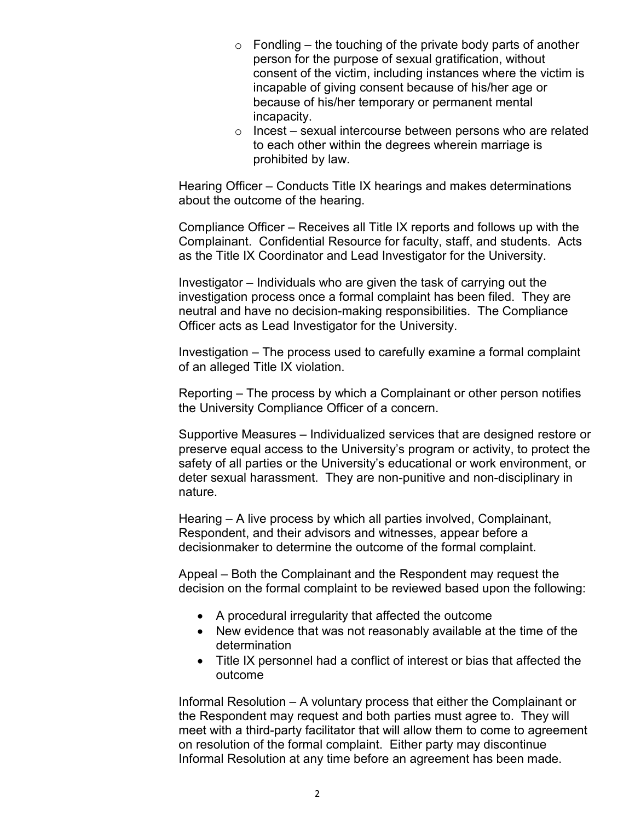- $\circ$  Fondling the touching of the private body parts of another person for the purpose of sexual gratification, without consent of the victim, including instances where the victim is incapable of giving consent because of his/her age or because of his/her temporary or permanent mental incapacity.
- $\circ$  Incest sexual intercourse between persons who are related to each other within the degrees wherein marriage is prohibited by law.

Hearing Officer – Conducts Title IX hearings and makes determinations about the outcome of the hearing.

Compliance Officer – Receives all Title IX reports and follows up with the Complainant. Confidential Resource for faculty, staff, and students. Acts as the Title IX Coordinator and Lead Investigator for the University.

Investigator – Individuals who are given the task of carrying out the investigation process once a formal complaint has been filed. They are neutral and have no decision-making responsibilities. The Compliance Officer acts as Lead Investigator for the University.

Investigation – The process used to carefully examine a formal complaint of an alleged Title IX violation.

Reporting – The process by which a Complainant or other person notifies the University Compliance Officer of a concern.

Supportive Measures – Individualized services that are designed restore or preserve equal access to the University's program or activity, to protect the safety of all parties or the University's educational or work environment, or deter sexual harassment. They are non-punitive and non-disciplinary in nature.

Hearing – A live process by which all parties involved, Complainant, Respondent, and their advisors and witnesses, appear before a decisionmaker to determine the outcome of the formal complaint.

Appeal – Both the Complainant and the Respondent may request the decision on the formal complaint to be reviewed based upon the following:

- A procedural irregularity that affected the outcome
- New evidence that was not reasonably available at the time of the determination
- Title IX personnel had a conflict of interest or bias that affected the outcome

Informal Resolution – A voluntary process that either the Complainant or the Respondent may request and both parties must agree to. They will meet with a third-party facilitator that will allow them to come to agreement on resolution of the formal complaint. Either party may discontinue Informal Resolution at any time before an agreement has been made.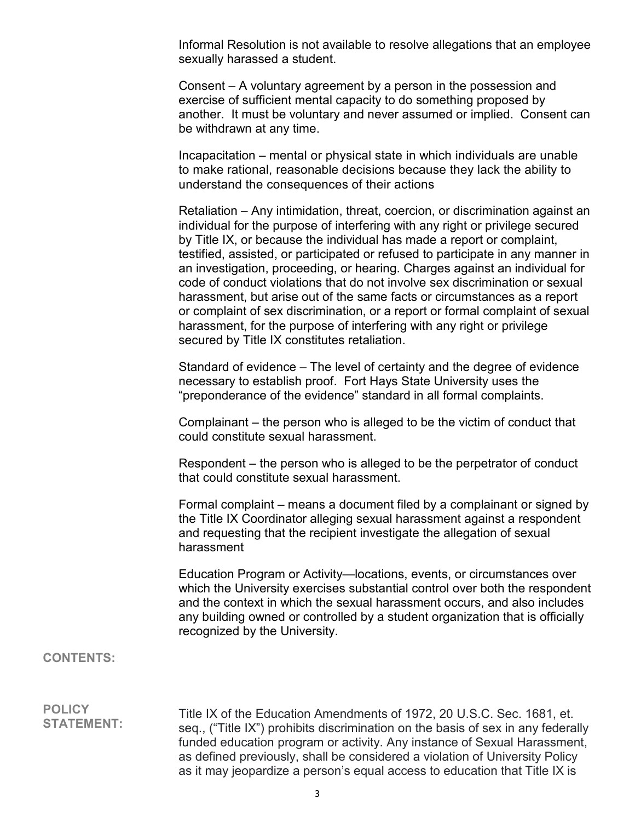Informal Resolution is not available to resolve allegations that an employee sexually harassed a student.

Consent – A voluntary agreement by a person in the possession and exercise of sufficient mental capacity to do something proposed by another. It must be voluntary and never assumed or implied. Consent can be withdrawn at any time.

Incapacitation – mental or physical state in which individuals are unable to make rational, reasonable decisions because they lack the ability to understand the consequences of their actions

Retaliation – Any intimidation, threat, coercion, or discrimination against an individual for the purpose of interfering with any right or privilege secured by Title IX, or because the individual has made a report or complaint, testified, assisted, or participated or refused to participate in any manner in an investigation, proceeding, or hearing. Charges against an individual for code of conduct violations that do not involve sex discrimination or sexual harassment, but arise out of the same facts or circumstances as a report or complaint of sex discrimination, or a report or formal complaint of sexual harassment, for the purpose of interfering with any right or privilege secured by Title IX constitutes retaliation.

Standard of evidence – The level of certainty and the degree of evidence necessary to establish proof. Fort Hays State University uses the "preponderance of the evidence" standard in all formal complaints.

Complainant – the person who is alleged to be the victim of conduct that could constitute sexual harassment.

Respondent – the person who is alleged to be the perpetrator of conduct that could constitute sexual harassment.

Formal complaint – means a document filed by a complainant or signed by the Title IX Coordinator alleging sexual harassment against a respondent and requesting that the recipient investigate the allegation of sexual harassment

Education Program or Activity—locations, events, or circumstances over which the University exercises substantial control over both the respondent and the context in which the sexual harassment occurs, and also includes any building owned or controlled by a student organization that is officially recognized by the University.

## **CONTENTS:**

## **POLICY STATEMENT:**

Title IX of the Education Amendments of 1972, 20 U.S.C. Sec. 1681, et. seq., ("Title IX") prohibits discrimination on the basis of sex in any federally funded education program or activity. Any instance of Sexual Harassment, as defined previously, shall be considered a violation of University Policy as it may jeopardize a person's equal access to education that Title IX is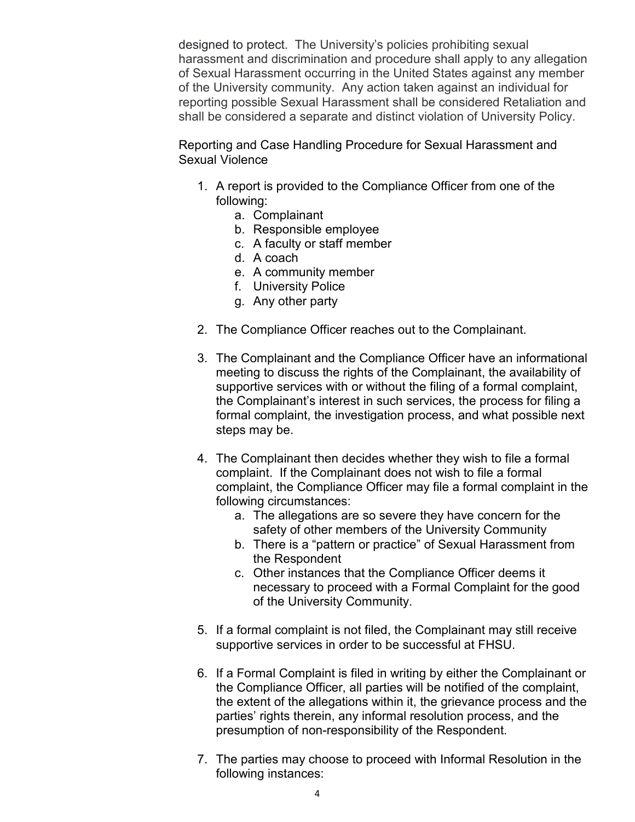designed to protect. The University's policies prohibiting sexual harassment and discrimination and procedure shall apply to any allegation of Sexual Harassment occurring in the United States against any member of the University community. Any action taken against an individual for reporting possible Sexual Harassment shall be considered Retaliation and shall be considered a separate and distinct violation of University Policy.

Reporting and Case Handling Procedure for Sexual Harassment and Sexual Violence

- 1. A report is provided to the Compliance Officer from one of the following:
	- a. Complainant
	- b. Responsible employee
	- c. A faculty or staff member
	- d. A coach
	- e. A community member
	- f. University Police
	- g. Any other party
- 2. The Compliance Officer reaches out to the Complainant.
- 3. The Complainant and the Compliance Officer have an informational meeting to discuss the rights of the Complainant, the availability of supportive services with or without the filing of a formal complaint, the Complainant's interest in such services, the process for filing a formal complaint, the investigation process, and what possible next steps may be.
- 4. The Complainant then decides whether they wish to file a formal complaint. If the Complainant does not wish to file a formal complaint, the Compliance Officer may file a formal complaint in the following circumstances:
	- a. The allegations are so severe they have concern for the safety of other members of the University Community
	- b. There is a "pattern or practice" of Sexual Harassment from the Respondent
	- c. Other instances that the Compliance Officer deems it necessary to proceed with a Formal Complaint for the good of the University Community.
- 5. If a formal complaint is not filed, the Complainant may still receive supportive services in order to be successful at FHSU.
- 6. If a Formal Complaint is filed in writing by either the Complainant or the Compliance Officer, all parties will be notified of the complaint, the extent of the allegations within it, the grievance process and the parties' rights therein, any informal resolution process, and the presumption of non-responsibility of the Respondent.
- 7. The parties may choose to proceed with Informal Resolution in the following instances: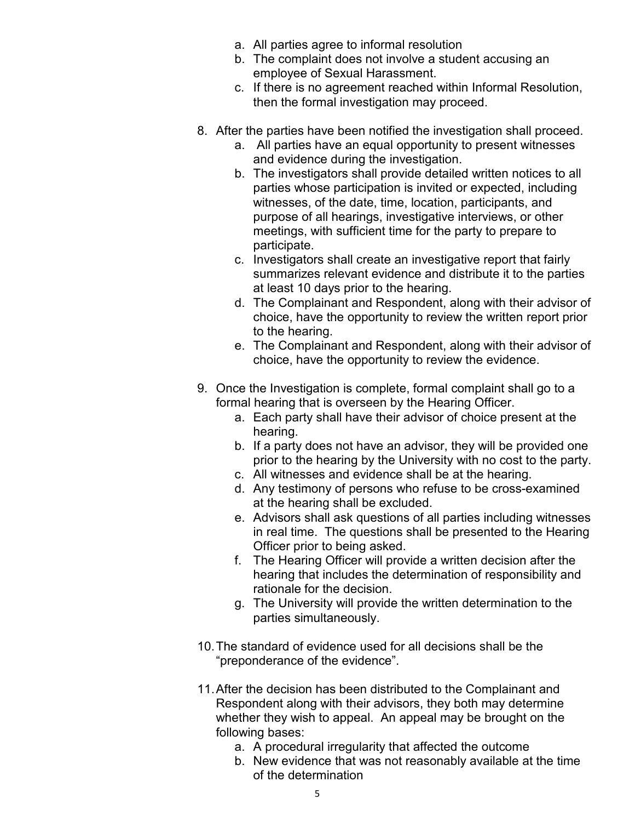- a. All parties agree to informal resolution
- b. The complaint does not involve a student accusing an employee of Sexual Harassment.
- c. If there is no agreement reached within Informal Resolution, then the formal investigation may proceed.
- 8. After the parties have been notified the investigation shall proceed.
	- a. All parties have an equal opportunity to present witnesses and evidence during the investigation.
	- b. The investigators shall provide detailed written notices to all parties whose participation is invited or expected, including witnesses, of the date, time, location, participants, and purpose of all hearings, investigative interviews, or other meetings, with sufficient time for the party to prepare to participate.
	- c. Investigators shall create an investigative report that fairly summarizes relevant evidence and distribute it to the parties at least 10 days prior to the hearing.
	- d. The Complainant and Respondent, along with their advisor of choice, have the opportunity to review the written report prior to the hearing.
	- e. The Complainant and Respondent, along with their advisor of choice, have the opportunity to review the evidence.
- 9. Once the Investigation is complete, formal complaint shall go to a formal hearing that is overseen by the Hearing Officer.
	- a. Each party shall have their advisor of choice present at the hearing.
	- b. If a party does not have an advisor, they will be provided one prior to the hearing by the University with no cost to the party.
	- c. All witnesses and evidence shall be at the hearing.
	- d. Any testimony of persons who refuse to be cross-examined at the hearing shall be excluded.
	- e. Advisors shall ask questions of all parties including witnesses in real time. The questions shall be presented to the Hearing Officer prior to being asked.
	- f. The Hearing Officer will provide a written decision after the hearing that includes the determination of responsibility and rationale for the decision.
	- g. The University will provide the written determination to the parties simultaneously.
- 10.The standard of evidence used for all decisions shall be the "preponderance of the evidence".
- 11.After the decision has been distributed to the Complainant and Respondent along with their advisors, they both may determine whether they wish to appeal. An appeal may be brought on the following bases:
	- a. A procedural irregularity that affected the outcome
	- b. New evidence that was not reasonably available at the time of the determination